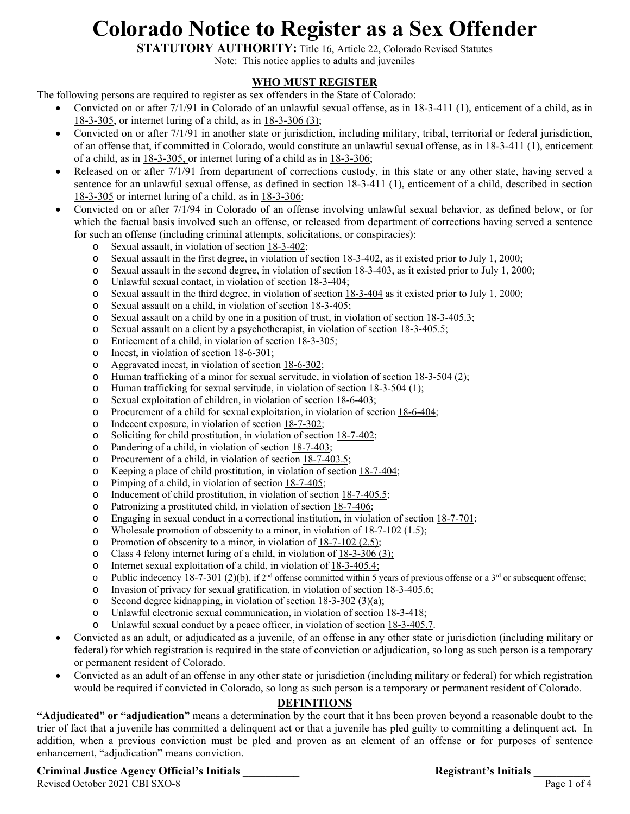# **Colorado Notice to Register as a Sex Offender**

**STATUTORY AUTHORITY:** Title 16, Article 22, Colorado Revised Statutes

Note: This notice applies to adults and juveniles

# **WHO MUST REGISTER**

The following persons are required to register as sex offenders in the State of Colorado:

- Convicted on or after 7/1/91 in Colorado of an unlawful sexual offense, as in 18-3-411 (1), enticement of a child, as in 18-3-305, or internet luring of a child, as in 18-3-306 (3);
- Convicted on or after 7/1/91 in another state or jurisdiction, including military, tribal, territorial or federal jurisdiction, of an offense that, if committed in Colorado, would constitute an unlawful sexual offense, as in 18-3-411 (1), enticement of a child, as in 18-3-305, or internet luring of a child as in 18-3-306;
- Released on or after 7/1/91 from department of corrections custody, in this state or any other state, having served a sentence for an unlawful sexual offense, as defined in section 18-3-411 (1), enticement of a child, described in section 18-3-305 or internet luring of a child, as in 18-3-306;
- Convicted on or after 7/1/94 in Colorado of an offense involving unlawful sexual behavior, as defined below, or for which the factual basis involved such an offense, or released from department of corrections having served a sentence for such an offense (including criminal attempts, solicitations, or conspiracies):
	- o Sexual assault, in violation of section 18-3-402;
	- o Sexual assault in the first degree, in violation of section 18-3-402, as it existed prior to July 1, 2000;
	- $\circ$  Sexual assault in the second degree, in violation of section  $18-3-403$ , as it existed prior to July 1, 2000;
	- o Unlawful sexual contact, in violation of section 18-3-404;
	- $\circ$  Sexual assault in the third degree, in violation of section 18-3-404 as it existed prior to July 1, 2000;
	- o Sexual assault on a child, in violation of section 18-3-405;
	- $\circ$  Sexual assault on a child by one in a position of trust, in violation of section 18-3-405.3;
	- o Sexual assault on a client by a psychotherapist, in violation of section 18-3-405.5;
	- o Enticement of a child, in violation of section 18-3-305;
	- o Incest, in violation of section 18-6-301;
	- o Aggravated incest, in violation of section 18-6-302;
	- o Human trafficking of a minor for sexual servitude, in violation of section 18-3-504 (2);
	- o Human trafficking for sexual servitude, in violation of section 18-3-504 (1);
	- o Sexual exploitation of children, in violation of section 18-6-403;
	- o Procurement of a child for sexual exploitation, in violation of section 18-6-404;
	- o Indecent exposure, in violation of section 18-7-302;
	- o Soliciting for child prostitution, in violation of section 18-7-402;
	- o Pandering of a child, in violation of section 18-7-403;
	- o Procurement of a child, in violation of section 18-7-403.5;
	- o Keeping a place of child prostitution, in violation of section 18-7-404;
	- o Pimping of a child, in violation of section 18-7-405;
	- o Inducement of child prostitution, in violation of section 18-7-405.5;
	- o Patronizing a prostituted child, in violation of section 18-7-406;
	- o Engaging in sexual conduct in a correctional institution, in violation of section 18-7-701;
	- o Wholesale promotion of obscenity to a minor, in violation of  $18-7-102$  (1.5);
	- o Promotion of obscenity to a minor, in violation of 18-7-102 (2.5);
	- o Class 4 felony internet luring of a child, in violation of 18-3-306 (3);
	- o Internet sexual exploitation of a child, in violation of 18-3-405.4;
	- $\circ$  Public indecency 18-7-301 (2)(b), if 2<sup>nd</sup> offense committed within 5 years of previous offense or a 3<sup>rd</sup> or subsequent offense;
	- o Invasion of privacy for sexual gratification, in violation of section 18-3-405.6;
	- o Second degree kidnapping, in violation of section 18-3-302 (3)(a);
	- o Unlawful electronic sexual communication, in violation of section 18-3-418;
	- o Unlawful sexual conduct by a peace officer, in violation of section  $18-3-405.7$ .
- Convicted as an adult, or adjudicated as a juvenile, of an offense in any other state or jurisdiction (including military or federal) for which registration is required in the state of conviction or adjudication, so long as such person is a temporary or permanent resident of Colorado.
- Convicted as an adult of an offense in any other state or jurisdiction (including military or federal) for which registration would be required if convicted in Colorado, so long as such person is a temporary or permanent resident of Colorado.

## **DEFINITIONS**

**"Adjudicated" or "adjudication"** means a determination by the court that it has been proven beyond a reasonable doubt to the trier of fact that a juvenile has committed a delinquent act or that a juvenile has pled guilty to committing a delinquent act. In addition, when a previous conviction must be pled and proven as an element of an offense or for purposes of sentence enhancement, "adjudication" means conviction.

# **Criminal Justice Agency Official's Initials \_\_\_\_\_\_\_\_\_\_ Registrant's Initials \_\_\_\_\_\_\_\_\_\_**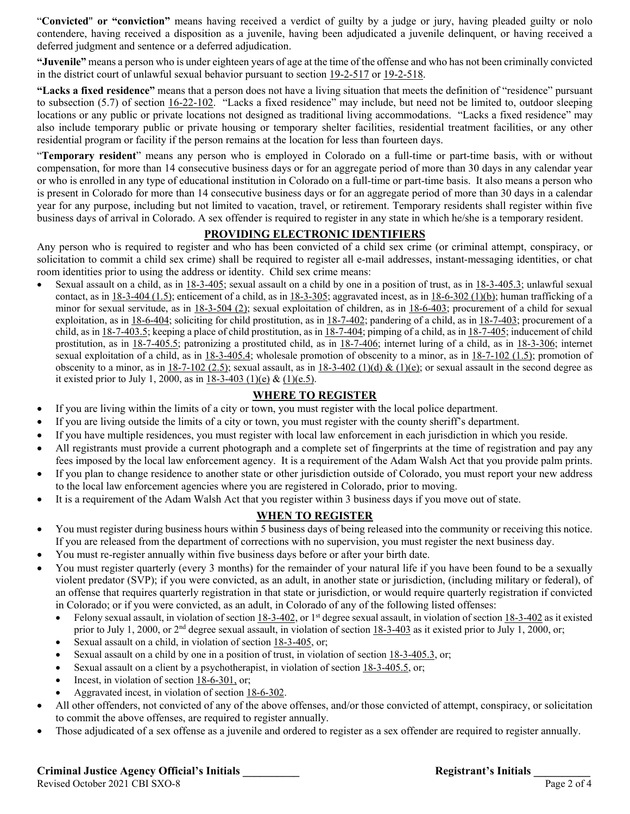"**Convicted**" **or "conviction"** means having received a verdict of guilty by a judge or jury, having pleaded guilty or nolo contendere, having received a disposition as a juvenile, having been adjudicated a juvenile delinquent, or having received a deferred judgment and sentence or a deferred adjudication.

**"Juvenile"** means a person who is under eighteen years of age at the time of the offense and who has not been criminally convicted in the district court of unlawful sexual behavior pursuant to section 19-2-517 or 19-2-518.

**"Lacks a fixed residence"** means that a person does not have a living situation that meets the definition of "residence" pursuant to subsection  $(5.7)$  of section  $16-22-102$ . "Lacks a fixed residence" may include, but need not be limited to, outdoor sleeping locations or any public or private locations not designed as traditional living accommodations. "Lacks a fixed residence" may also include temporary public or private housing or temporary shelter facilities, residential treatment facilities, or any other residential program or facility if the person remains at the location for less than fourteen days.

"**Temporary resident**" means any person who is employed in Colorado on a full-time or part-time basis, with or without compensation, for more than 14 consecutive business days or for an aggregate period of more than 30 days in any calendar year or who is enrolled in any type of educational institution in Colorado on a full-time or part-time basis. It also means a person who is present in Colorado for more than 14 consecutive business days or for an aggregate period of more than 30 days in a calendar year for any purpose, including but not limited to vacation, travel, or retirement. Temporary residents shall register within five business days of arrival in Colorado. A sex offender is required to register in any state in which he/she is a temporary resident.

#### **PROVIDING ELECTRONIC IDENTIFIERS**

Any person who is required to register and who has been convicted of a child sex crime (or criminal attempt, conspiracy, or solicitation to commit a child sex crime) shall be required to register all e-mail addresses, instant-messaging identities, or chat room identities prior to using the address or identity. Child sex crime means:

 Sexual assault on a child, as in 18-3-405; sexual assault on a child by one in a position of trust, as in 18-3-405.3; unlawful sexual contact, as in  $18-3-404$  (1.5); enticement of a child, as in  $18-3-305$ ; aggravated incest, as in  $18-6-302$  (1)(b); human trafficking of a minor for sexual servitude, as in 18-3-504 (2); sexual exploitation of children, as in 18-6-403; procurement of a child for sexual exploitation, as in  $18-6-404$ ; soliciting for child prostitution, as in  $18-7-402$ ; pandering of a child, as in  $18-7-403$ ; procurement of a child, as in 18-7-403.5; keeping a place of child prostitution, as in 18-7-404; pimping of a child, as in 18-7-405; inducement of child prostitution, as in 18-7-405.5; patronizing a prostituted child, as in 18-7-406; internet luring of a child, as in 18-3-306; internet sexual exploitation of a child, as in  $18-3-405.4$ ; wholesale promotion of obscenity to a minor, as in  $18-7-102$  (1.5); promotion of obscenity to a minor, as in  $18-7-102$  (2.5); sexual assault, as in  $18-3-402$  (1)(d) & (1)(e); or sexual assault in the second degree as it existed prior to July 1, 2000, as in  $18-3-403$  (1)(e) & (1)(e.5).

#### **WHERE TO REGISTER**

- If you are living within the limits of a city or town, you must register with the local police department.
- If you are living outside the limits of a city or town, you must register with the county sheriff's department.
- If you have multiple residences, you must register with local law enforcement in each jurisdiction in which you reside.
- All registrants must provide a current photograph and a complete set of fingerprints at the time of registration and pay any fees imposed by the local law enforcement agency. It is a requirement of the Adam Walsh Act that you provide palm prints.
- If you plan to change residence to another state or other jurisdiction outside of Colorado, you must report your new address to the local law enforcement agencies where you are registered in Colorado, prior to moving.
- It is a requirement of the Adam Walsh Act that you register within 3 business days if you move out of state.

# **WHEN TO REGISTER**

- You must register during business hours within 5 business days of being released into the community or receiving this notice. If you are released from the department of corrections with no supervision, you must register the next business day.
- You must re-register annually within five business days before or after your birth date.
- You must register quarterly (every 3 months) for the remainder of your natural life if you have been found to be a sexually violent predator (SVP); if you were convicted, as an adult, in another state or jurisdiction, (including military or federal), of an offense that requires quarterly registration in that state or jurisdiction, or would require quarterly registration if convicted in Colorado; or if you were convicted, as an adult, in Colorado of any of the following listed offenses:
	- Felony sexual assault, in violation of section 18-3-402, or 1st degree sexual assault, in violation of section 18-3-402 as it existed prior to July 1, 2000, or  $2<sup>nd</sup>$  degree sexual assault, in violation of section  $18-3-403$  as it existed prior to July 1, 2000, or;
	- Sexual assault on a child, in violation of section 18-3-405, or;
	- Sexual assault on a child by one in a position of trust, in violation of section 18-3-405.3, or;
	- Sexual assault on a client by a psychotherapist, in violation of section 18-3-405.5, or;
	- Incest, in violation of section 18-6-301, or;
	- Aggravated incest, in violation of section 18-6-302.
- All other offenders, not convicted of any of the above offenses, and/or those convicted of attempt, conspiracy, or solicitation to commit the above offenses, are required to register annually.
- Those adjudicated of a sex offense as a juvenile and ordered to register as a sex offender are required to register annually.

# **Criminal Justice Agency Official's Initials \_\_\_\_\_\_\_\_\_\_ Registrant's Initials \_\_\_\_\_\_\_\_\_\_**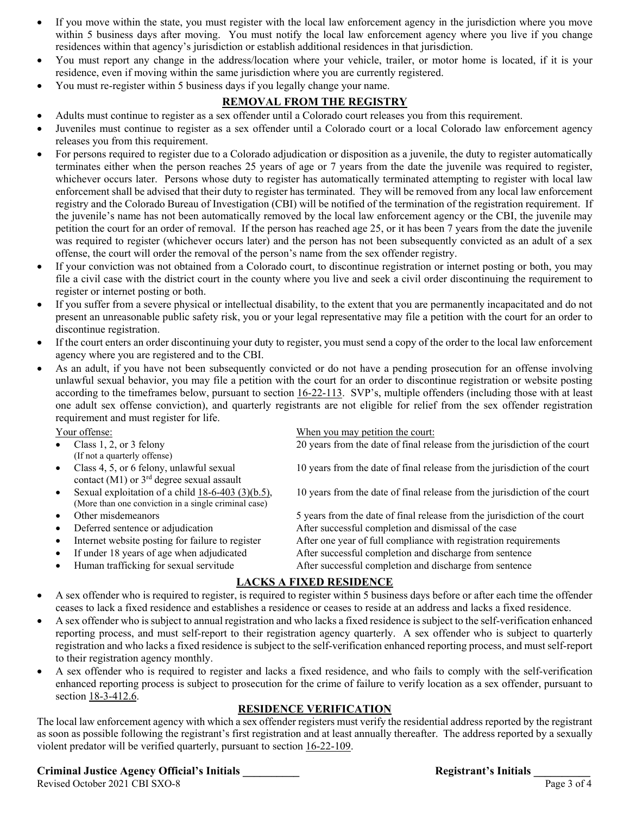- If you move within the state, you must register with the local law enforcement agency in the jurisdiction where you move within 5 business days after moving. You must notify the local law enforcement agency where you live if you change residences within that agency's jurisdiction or establish additional residences in that jurisdiction.
- You must report any change in the address/location where your vehicle, trailer, or motor home is located, if it is your residence, even if moving within the same jurisdiction where you are currently registered.
- You must re-register within 5 business days if you legally change your name.

## **REMOVAL FROM THE REGISTRY**

- Adults must continue to register as a sex offender until a Colorado court releases you from this requirement.
- Juveniles must continue to register as a sex offender until a Colorado court or a local Colorado law enforcement agency releases you from this requirement.
- For persons required to register due to a Colorado adjudication or disposition as a juvenile, the duty to register automatically terminates either when the person reaches 25 years of age or 7 years from the date the juvenile was required to register, whichever occurs later. Persons whose duty to register has automatically terminated attempting to register with local law enforcement shall be advised that their duty to register has terminated. They will be removed from any local law enforcement registry and the Colorado Bureau of Investigation (CBI) will be notified of the termination of the registration requirement. If the juvenile's name has not been automatically removed by the local law enforcement agency or the CBI, the juvenile may petition the court for an order of removal. If the person has reached age 25, or it has been 7 years from the date the juvenile was required to register (whichever occurs later) and the person has not been subsequently convicted as an adult of a sex offense, the court will order the removal of the person's name from the sex offender registry.
- If your conviction was not obtained from a Colorado court, to discontinue registration or internet posting or both, you may file a civil case with the district court in the county where you live and seek a civil order discontinuing the requirement to register or internet posting or both.
- If you suffer from a severe physical or intellectual disability, to the extent that you are permanently incapacitated and do not present an unreasonable public safety risk, you or your legal representative may file a petition with the court for an order to discontinue registration.
- If the court enters an order discontinuing your duty to register, you must send a copy of the order to the local law enforcement agency where you are registered and to the CBI.
- As an adult, if you have not been subsequently convicted or do not have a pending prosecution for an offense involving unlawful sexual behavior, you may file a petition with the court for an order to discontinue registration or website posting according to the timeframes below, pursuant to section 16-22-113. SVP's, multiple offenders (including those with at least one adult sex offense conviction), and quarterly registrants are not eligible for relief from the sex offender registration requirement and must register for life.

- Class 1, 2, or 3 felony 20 years from the date of final release from the jurisdiction of the court (If not a quarterly offense)
	- contact (M1) or  $3<sup>rd</sup>$  degree sexual assault
	- (More than one conviction in a single criminal case)
	-
	-
- 
- 
- 

Your offense: When you may petition the court:

Class 4, 5, or 6 felony, unlawful sexual 10 years from the date of final release from the jurisdiction of the court

Sexual exploitation of a child 18-6-403 (3)(b.5), 10 years from the date of final release from the jurisdiction of the court

Other misdemeanors 5 years from the date of final release from the jurisdiction of the court

Deferred sentence or adjudication After successful completion and dismissal of the case

- Internet website posting for failure to register After one year of full compliance with registration requirements
- If under 18 years of age when adjudicated After successful completion and discharge from sentence
- Human trafficking for sexual servitude After successful completion and discharge from sentence

## **LACKS A FIXED RESIDENCE**

- A sex offender who is required to register, is required to register within 5 business days before or after each time the offender ceases to lack a fixed residence and establishes a residence or ceases to reside at an address and lacks a fixed residence.
- A sex offender who is subject to annual registration and who lacks a fixed residence is subject to the self-verification enhanced reporting process, and must self-report to their registration agency quarterly. A sex offender who is subject to quarterly registration and who lacks a fixed residence is subject to the self-verification enhanced reporting process, and must self-report to their registration agency monthly.
- A sex offender who is required to register and lacks a fixed residence, and who fails to comply with the self-verification enhanced reporting process is subject to prosecution for the crime of failure to verify location as a sex offender, pursuant to section 18-3-412.6.

## **RESIDENCE VERIFICATION**

The local law enforcement agency with which a sex offender registers must verify the residential address reported by the registrant as soon as possible following the registrant's first registration and at least annually thereafter. The address reported by a sexually violent predator will be verified quarterly, pursuant to section 16-22-109.

# **Criminal Justice Agency Official's Initials \_\_\_\_\_\_\_\_\_\_ Registrant's Initials \_\_\_\_\_\_\_\_\_\_**